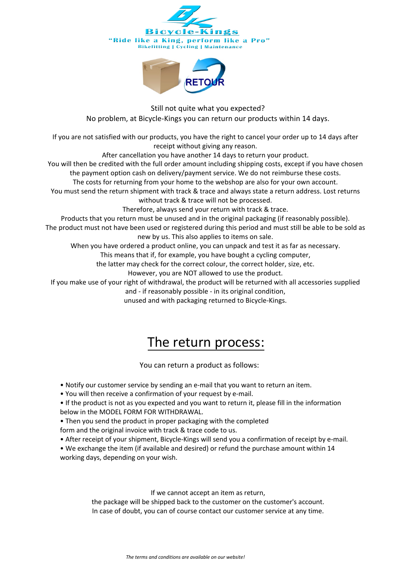



Still not quite what you expected? No problem, at Bicycle-Kings you can return our products within 14 days.

If you are not satisfied with our products, you have the right to cancel your order up to 14 days after receipt without giving any reason.

After cancellation you have another 14 days to return your product.

You will then be credited with the full order amount including shipping costs, except if you have chosen the payment option cash on delivery/payment service. We do not reimburse these costs.

The costs for returning from your home to the webshop are also for your own account.

You must send the return shipment with track & trace and always state a return address. Lost returns without track & trace will not be processed.

Therefore, always send your return with track & trace.

Products that you return must be unused and in the original packaging (if reasonably possible).

The product must not have been used or registered during this period and must still be able to be sold as new by us. This also applies to items on sale.

When you have ordered a product online, you can unpack and test it as far as necessary.

This means that if, for example, you have bought a cycling computer,

the latter may check for the correct colour, the correct holder, size, etc.

However, you are NOT allowed to use the product.

If you make use of your right of withdrawal, the product will be returned with all accessories supplied

and - if reasonably possible - in its original condition,

unused and with packaging returned to Bicycle-Kings.

## The return process:

You can return a product as follows:

• Notify our customer service by sending an e-mail that you want to return an item.

• You will then receive a confirmation of your request by e-mail.

• If the product is not as you expected and you want to return it, please fill in the information below in the MODEL FORM FOR WITHDRAWAL.

• Then you send the product in proper packaging with the completed

form and the original invoice with track & trace code to us.

• After receipt of your shipment, Bicycle-Kings will send you a confirmation of receipt by e-mail.

• We exchange the item (if available and desired) or refund the purchase amount within 14 working days, depending on your wish.

If we cannot accept an item as return,

the package will be shipped back to the customer on the customer's account. In case of doubt, you can of course contact our customer service at any time.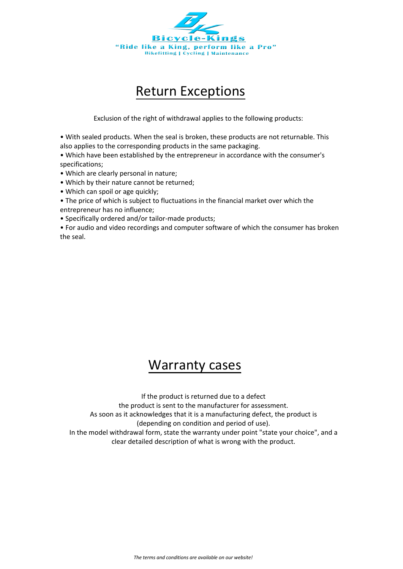

## Return Exceptions

Exclusion of the right of withdrawal applies to the following products:

• With sealed products. When the seal is broken, these products are not returnable. This also applies to the corresponding products in the same packaging.

• Which have been established by the entrepreneur in accordance with the consumer's specifications;

• Which are clearly personal in nature;

- Which by their nature cannot be returned;
- Which can spoil or age quickly;
- The price of which is subject to fluctuations in the financial market over which the entrepreneur has no influence;
- Specifically ordered and/or tailor-made products;

• For audio and video recordings and computer software of which the consumer has broken the seal.

## Warranty cases

If the product is returned due to a defect

the product is sent to the manufacturer for assessment.

As soon as it acknowledges that it is a manufacturing defect, the product is

(depending on condition and period of use).

In the model withdrawal form, state the warranty under point "state your choice", and a clear detailed description of what is wrong with the product.